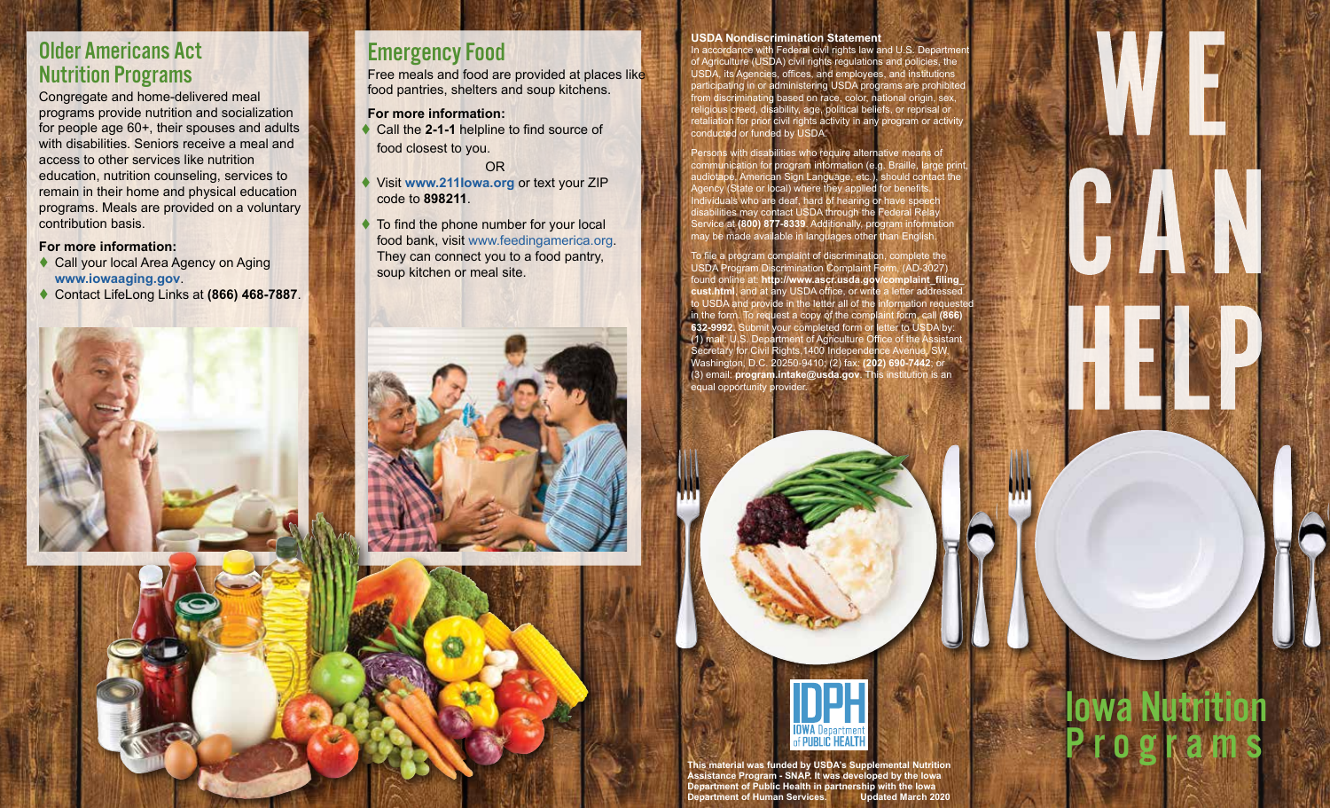### Older Americans Act Nutrition Programs

Congregate and home-delivered meal programs provide nutrition and socialization for people age 60+, their spouses and adults with disabilities. Seniors receive a meal and access to other services like nutrition education, nutrition counseling, services to remain in their home and physical education programs. Meals are provided on a voluntary contribution basis.

#### **For more information:**

- ◆ Call your local Area Agency on Aging **<www.iowaaging.gov>**.
- Contact LifeLong Links at **(866) 468-7887**.

# Emergency Food

Free meals and food are provided at places like food pantries, shelters and soup kitchens.

**For more information:**

- ◆ Call the 2-1-1 helpline to find source of food closest to you.
- OR Visit **<www.211Iowa.org>** or text your ZIP
- code to **898211**.
- To find the phone number for your local food bank, visit [www.feedingamerica.org.](www.feedingamerica.org) They can connect you to a food pantry, soup kitchen or meal site.

#### **USDA Nondiscrimination Statement**

In accordance with Federal civil rights law and U.S. Department of Agriculture (USDA) civil rights regulations and policies, the USDA, its Agencies, offices, and employees, and institutions participating in or administering USDA programs are prohibited from discriminating based on race, color, national origin, sex, religious creed, disability, age, political beliefs, or reprisal or retaliation for prior civil rights activity in any program or activity conducted or funded by USDA.

Persons with disabilities who require alternative means of communication for program information (e.g. Braille, large print, audiotape, American Sign Language, etc.), should contact the Agency (State or local) where they applied for benefits. Individuals who are deaf, hard of hearing or have speech disabilities may contact USDA through the Federal Relay Service at **(800) 877-8339**. Additionally, program information may be made available in languages other than English.

To file a program complaint of discrimination, complete the USDA Program Discrimination Complaint Form, (AD-3027) found online at: **[http://www.ascr.usda.gov/complaint\\_filing\\_](http://www.ascr.usda.gov/complaint_filing_cust.html) [cust.html](http://www.ascr.usda.gov/complaint_filing_cust.html)**, and at any USDA office, or write a letter addressed to USDA and provide in the letter all of the i in the form. To request a copy of the complaint form, call **(866) 632-9992.** Submit your completed form or letter to USDA by: (1) mail: U.S. Department of Agriculture Office of the Assistant Secretary for Civil Rights,1400 Independence Avenue, SW, Washington, D.C. 20250-9410; (2) fax: **(202) 690-7442**; or (3) email: **[program.intake@usda.gov](mailto:program.intake@usda.gov)**. This institution is an equal opportunity provider.



Iowa Nutrition

**Programs** 

**This material was funded by USDA's Supplemental Nutrition Assistance Program - SNAP. It was developed by the Iowa Department of Public Health in partnership with the Iowa Department of Human Services. Updated March 2020**